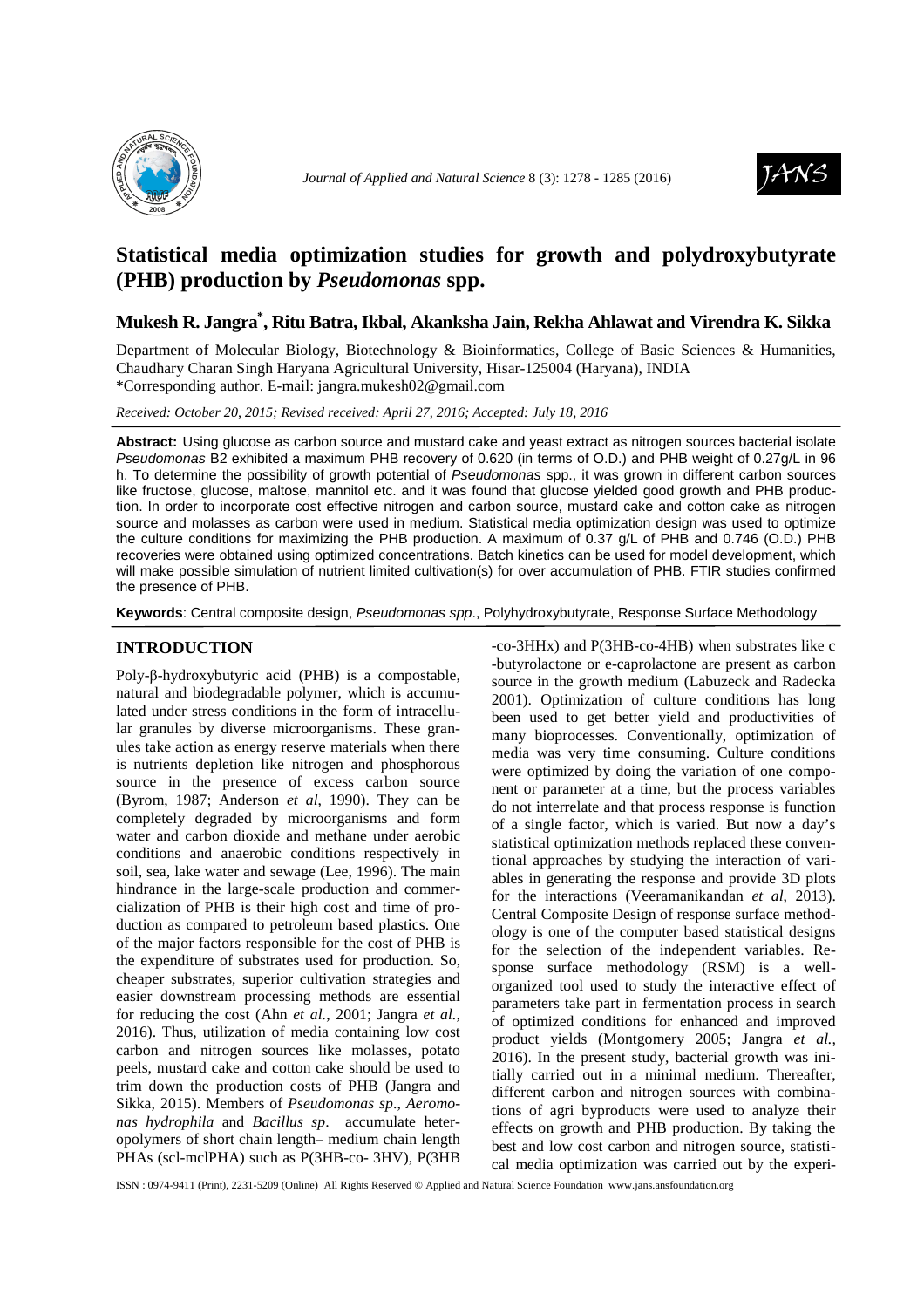



# **Statistical media optimization studies for growth and polydroxybutyrate (PHB) production by** *Pseudomonas* **spp.**

## **Mukesh R. Jangra\* , Ritu Batra, Ikbal, Akanksha Jain, Rekha Ahlawat and Virendra K. Sikka**

Department of Molecular Biology, Biotechnology & Bioinformatics, College of Basic Sciences & Humanities, Chaudhary Charan Singh Haryana Agricultural University, Hisar-125004 (Haryana), INDIA \*Corresponding author. E-mail: jangra.mukesh02@gmail.com

*Received: October 20, 2015; Revised received: April 27, 2016; Accepted: July 18, 2016*

**Abstract:** Using glucose as carbon source and mustard cake and yeast extract as nitrogen sources bacterial isolate Pseudomonas B2 exhibited a maximum PHB recovery of 0.620 (in terms of O.D.) and PHB weight of 0.27g/L in 96 h. To determine the possibility of growth potential of Pseudomonas spp., it was grown in different carbon sources like fructose, glucose, maltose, mannitol etc. and it was found that glucose yielded good growth and PHB production. In order to incorporate cost effective nitrogen and carbon source, mustard cake and cotton cake as nitrogen source and molasses as carbon were used in medium. Statistical media optimization design was used to optimize the culture conditions for maximizing the PHB production. A maximum of 0.37 g/L of PHB and 0.746 (O.D.) PHB recoveries were obtained using optimized concentrations. Batch kinetics can be used for model development, which will make possible simulation of nutrient limited cultivation(s) for over accumulation of PHB. FTIR studies confirmed the presence of PHB.

**Keywords**: Central composite design, Pseudomonas spp., Polyhydroxybutyrate, Response Surface Methodology

## **INTRODUCTION**

Poly-β-hydroxybutyric acid (PHB) is a compostable, natural and biodegradable polymer, which is accumulated under stress conditions in the form of intracellular granules by diverse microorganisms. These granules take action as energy reserve materials when there is nutrients depletion like nitrogen and phosphorous source in the presence of excess carbon source (Byrom, 1987; Anderson *et al*, 1990). They can be completely degraded by microorganisms and form water and carbon dioxide and methane under aerobic conditions and anaerobic conditions respectively in soil, sea, lake water and sewage (Lee, 1996). The main hindrance in the large-scale production and commercialization of PHB is their high cost and time of production as compared to petroleum based plastics. One of the major factors responsible for the cost of PHB is the expenditure of substrates used for production. So, cheaper substrates, superior cultivation strategies and easier downstream processing methods are essential for reducing the cost (Ahn *et al.*, 2001; Jangra *et al.,*  2016). Thus, utilization of media containing low cost carbon and nitrogen sources like molasses, potato peels, mustard cake and cotton cake should be used to trim down the production costs of PHB (Jangra and Sikka, 2015). Members of *Pseudomonas sp*., *Aeromonas hydrophila* and *Bacillus sp*. accumulate heteropolymers of short chain length– medium chain length PHAs (scl-mclPHA) such as P(3HB-co- 3HV), P(3HB

-co-3HHx) and P(3HB-co-4HB) when substrates like c -butyrolactone or e-caprolactone are present as carbon source in the growth medium (Labuzeck and Radecka 2001). Optimization of culture conditions has long been used to get better yield and productivities of many bioprocesses. Conventionally, optimization of media was very time consuming. Culture conditions were optimized by doing the variation of one component or parameter at a time, but the process variables do not interrelate and that process response is function of a single factor, which is varied. But now a day's statistical optimization methods replaced these conventional approaches by studying the interaction of variables in generating the response and provide 3D plots for the interactions (Veeramanikandan *et al*, 2013). Central Composite Design of response surface methodology is one of the computer based statistical designs for the selection of the independent variables. Response surface methodology (RSM) is a wellorganized tool used to study the interactive effect of parameters take part in fermentation process in search of optimized conditions for enhanced and improved product yields (Montgomery 2005; Jangra *et al.,* 2016). In the present study, bacterial growth was initially carried out in a minimal medium. Thereafter, different carbon and nitrogen sources with combinations of agri byproducts were used to analyze their effects on growth and PHB production. By taking the best and low cost carbon and nitrogen source, statistical media optimization was carried out by the experi-

ISSN : 0974-9411 (Print), 2231-5209 (Online) All Rights Reserved © Applied and Natural Science Foundation www.jans.ansfoundation.org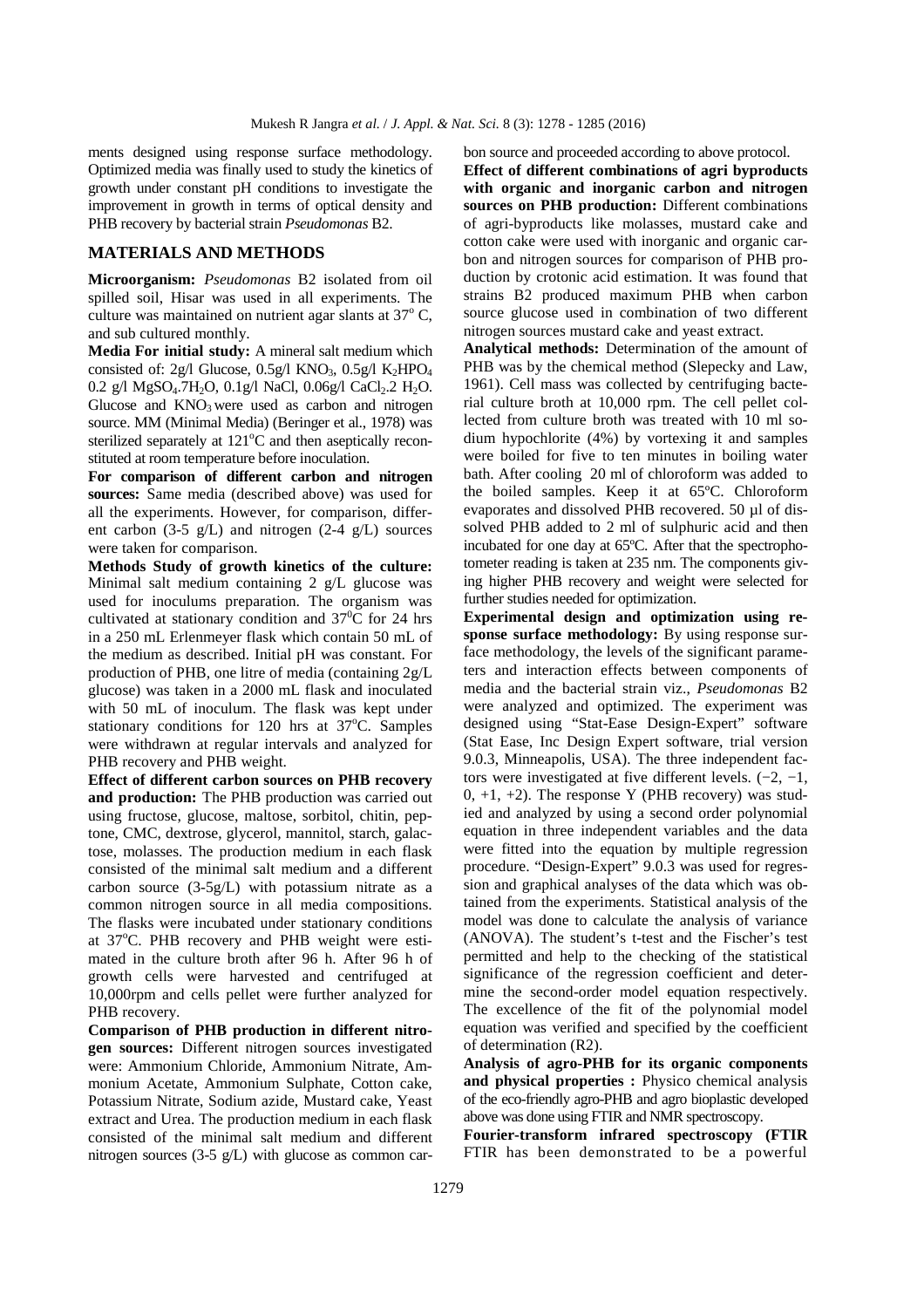ments designed using response surface methodology. Optimized media was finally used to study the kinetics of growth under constant pH conditions to investigate the improvement in growth in terms of optical density and PHB recovery by bacterial strain *Pseudomonas* B2.

## **MATERIALS AND METHODS**

**Microorganism:** *Pseudomonas* B2 isolated from oil spilled soil, Hisar was used in all experiments. The culture was maintained on nutrient agar slants at  $37^{\circ}$  C, and sub cultured monthly.

**Media For initial study:** A mineral salt medium which consisted of: 2g/l Glucose,  $0.5g/1$  KNO<sub>3</sub>,  $0.5g/1$  K<sub>2</sub>HPO<sub>4</sub> 0.2 g/l MgSO<sub>4</sub>.7H<sub>2</sub>O, 0.1g/l NaCl, 0.06g/l CaCl<sub>2</sub>.2 H<sub>2</sub>O. Glucose and  $KNO<sub>3</sub>$  were used as carbon and nitrogen source. MM (Minimal Media) (Beringer et al., 1978) was sterilized separately at  $121^{\circ}$ C and then aseptically reconstituted at room temperature before inoculation.

**For comparison of different carbon and nitrogen sources:** Same media (described above) was used for all the experiments. However, for comparison, different carbon  $(3-5 \text{ g/L})$  and nitrogen  $(2-4 \text{ g/L})$  sources were taken for comparison.

**Methods Study of growth kinetics of the culture:**  Minimal salt medium containing 2 g/L glucose was used for inoculums preparation. The organism was cultivated at stationary condition and  $37^{\circ}$ C for 24 hrs in a 250 mL Erlenmeyer flask which contain 50 mL of the medium as described. Initial pH was constant. For production of PHB, one litre of media (containing 2g/L glucose) was taken in a 2000 mL flask and inoculated with 50 mL of inoculum. The flask was kept under stationary conditions for 120 hrs at  $37^{\circ}$ C. Samples were withdrawn at regular intervals and analyzed for PHB recovery and PHB weight.

**Effect of different carbon sources on PHB recovery and production:** The PHB production was carried out using fructose, glucose, maltose, sorbitol, chitin, peptone, CMC, dextrose, glycerol, mannitol, starch, galactose, molasses. The production medium in each flask consisted of the minimal salt medium and a different carbon source (3-5g/L) with potassium nitrate as a common nitrogen source in all media compositions. The flasks were incubated under stationary conditions at  $37^{\circ}$ C. PHB recovery and PHB weight were estimated in the culture broth after 96 h. After 96 h of growth cells were harvested and centrifuged at 10,000rpm and cells pellet were further analyzed for PHB recovery.

**Comparison of PHB production in different nitrogen sources:** Different nitrogen sources investigated were: Ammonium Chloride, Ammonium Nitrate, Ammonium Acetate, Ammonium Sulphate, Cotton cake, Potassium Nitrate, Sodium azide, Mustard cake, Yeast extract and Urea. The production medium in each flask consisted of the minimal salt medium and different nitrogen sources (3-5 g/L) with glucose as common car-

bon source and proceeded according to above protocol. **Effect of different combinations of agri byproducts with organic and inorganic carbon and nitrogen sources on PHB production:** Different combinations of agri-byproducts like molasses, mustard cake and cotton cake were used with inorganic and organic carbon and nitrogen sources for comparison of PHB production by crotonic acid estimation. It was found that strains B2 produced maximum PHB when carbon source glucose used in combination of two different nitrogen sources mustard cake and yeast extract.

**Analytical methods:** Determination of the amount of PHB was by the chemical method (Slepecky and Law, 1961). Cell mass was collected by centrifuging bacterial culture broth at 10,000 rpm. The cell pellet collected from culture broth was treated with 10 ml sodium hypochlorite (4%) by vortexing it and samples were boiled for five to ten minutes in boiling water bath. After cooling 20 ml of chloroform was added to the boiled samples. Keep it at 65ºC. Chloroform evaporates and dissolved PHB recovered. 50 µl of dissolved PHB added to 2 ml of sulphuric acid and then incubated for one day at 65ºC. After that the spectrophotometer reading is taken at 235 nm. The components giving higher PHB recovery and weight were selected for further studies needed for optimization.

**Experimental design and optimization using response surface methodology:** By using response surface methodology, the levels of the significant parameters and interaction effects between components of media and the bacterial strain viz., *Pseudomonas* B2 were analyzed and optimized. The experiment was designed using "Stat-Ease Design-Expert" software (Stat Ease, Inc Design Expert software, trial version 9.0.3, Minneapolis, USA). The three independent factors were investigated at five different levels. (−2, −1,  $0, +1, +2$ ). The response Y (PHB recovery) was studied and analyzed by using a second order polynomial equation in three independent variables and the data were fitted into the equation by multiple regression procedure. "Design-Expert" 9.0.3 was used for regression and graphical analyses of the data which was obtained from the experiments. Statistical analysis of the model was done to calculate the analysis of variance (ANOVA). The student's t-test and the Fischer's test permitted and help to the checking of the statistical significance of the regression coefficient and determine the second-order model equation respectively. The excellence of the fit of the polynomial model equation was verified and specified by the coefficient of determination (R2).

**Analysis of agro-PHB for its organic components and physical properties :** Physico chemical analysis of the eco-friendly agro-PHB and agro bioplastic developed above was done using FTIR and NMR spectroscopy.

**Fourier-transform infrared spectroscopy (FTIR**  FTIR has been demonstrated to be a powerful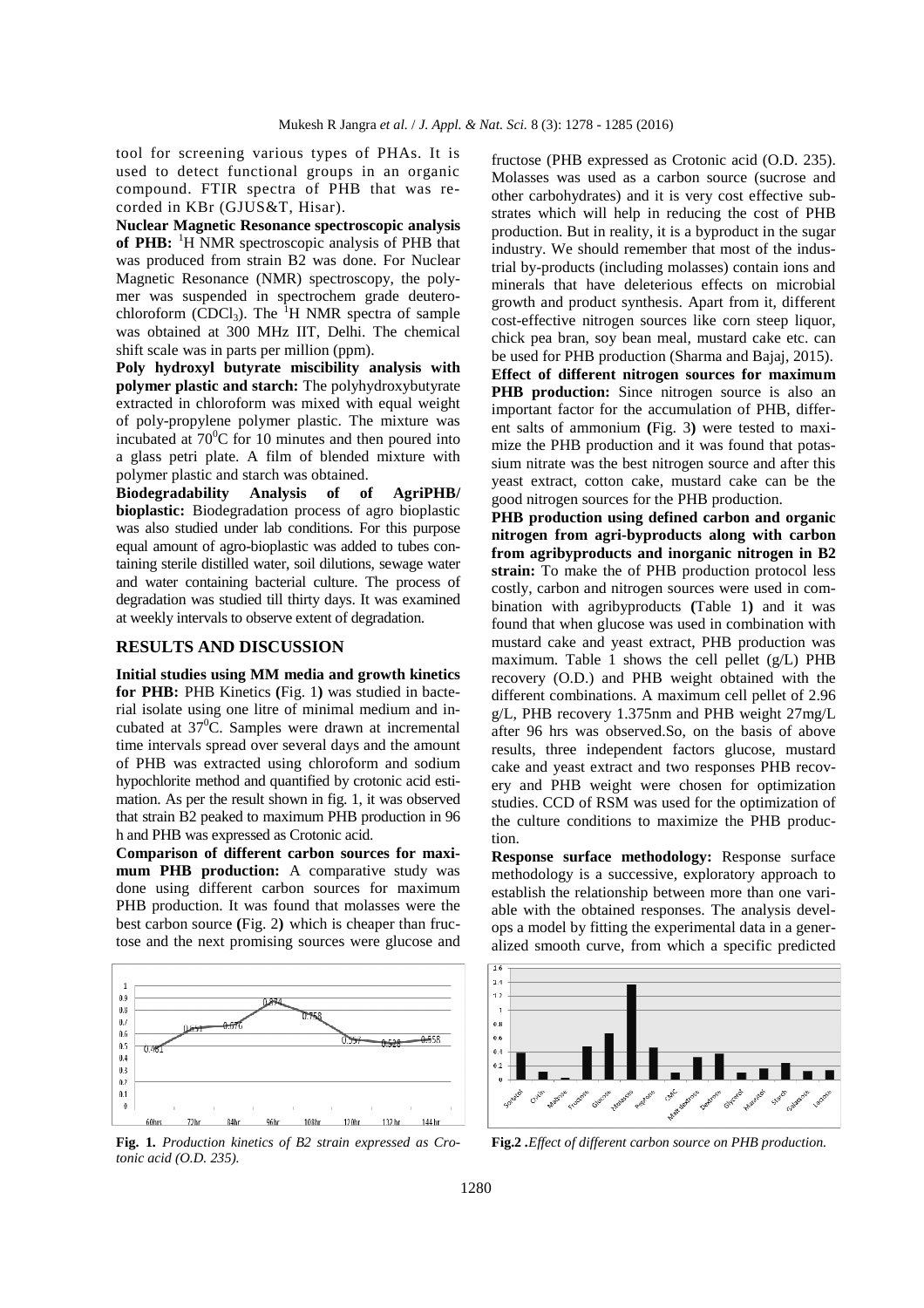tool for screening various types of PHAs. It is used to detect functional groups in an organic compound. FTIR spectra of PHB that was recorded in KBr (GJUS&T, Hisar).

**Nuclear Magnetic Resonance spectroscopic analysis of PHB:** <sup>1</sup>H NMR spectroscopic analysis of PHB that was produced from strain B2 was done. For Nuclear Magnetic Resonance (NMR) spectroscopy, the polymer was suspended in spectrochem grade deuterochloroform (CDCl<sub>3</sub>). The <sup>1</sup>H NMR spectra of sample was obtained at 300 MHz IIT, Delhi. The chemical shift scale was in parts per million (ppm).

**Poly hydroxyl butyrate miscibility analysis with polymer plastic and starch:** The polyhydroxybutyrate extracted in chloroform was mixed with equal weight of poly-propylene polymer plastic. The mixture was incubated at  $70^{\circ}$ C for 10 minutes and then poured into a glass petri plate. A film of blended mixture with polymer plastic and starch was obtained.

**Biodegradability Analysis of of AgriPHB/ bioplastic:** Biodegradation process of agro bioplastic was also studied under lab conditions. For this purpose equal amount of agro-bioplastic was added to tubes containing sterile distilled water, soil dilutions, sewage water and water containing bacterial culture. The process of degradation was studied till thirty days. It was examined at weekly intervals to observe extent of degradation.

## **RESULTS AND DISCUSSION**

**Initial studies using MM media and growth kinetics for PHB:** PHB Kinetics **(**Fig. 1**)** was studied in bacterial isolate using one litre of minimal medium and incubated at  $37^0$ C. Samples were drawn at incremental time intervals spread over several days and the amount of PHB was extracted using chloroform and sodium hypochlorite method and quantified by crotonic acid estimation. As per the result shown in fig. 1, it was observed that strain B2 peaked to maximum PHB production in 96 h and PHB was expressed as Crotonic acid.

**Comparison of different carbon sources for maximum PHB production:** A comparative study was done using different carbon sources for maximum PHB production. It was found that molasses were the best carbon source **(**Fig. 2**)** which is cheaper than fructose and the next promising sources were glucose and



**Fig. 1***. Production kinetics of B2 strain expressed as Crotonic acid (O.D. 235).* 

fructose (PHB expressed as Crotonic acid (O.D. 235). Molasses was used as a carbon source (sucrose and other carbohydrates) and it is very cost effective substrates which will help in reducing the cost of PHB production. But in reality, it is a byproduct in the sugar industry. We should remember that most of the industrial by-products (including molasses) contain ions and minerals that have deleterious effects on microbial growth and product synthesis. Apart from it, different cost-effective nitrogen sources like corn steep liquor, chick pea bran, soy bean meal, mustard cake etc. can be used for PHB production (Sharma and Bajaj, 2015). **Effect of different nitrogen sources for maximum PHB production:** Since nitrogen source is also an

important factor for the accumulation of PHB, different salts of ammonium **(**Fig. 3**)** were tested to maximize the PHB production and it was found that potassium nitrate was the best nitrogen source and after this yeast extract, cotton cake, mustard cake can be the good nitrogen sources for the PHB production.

**PHB production using defined carbon and organic nitrogen from agri-byproducts along with carbon from agribyproducts and inorganic nitrogen in B2 strain:** To make the of PHB production protocol less costly, carbon and nitrogen sources were used in combination with agribyproducts **(**Table 1**)** and it was found that when glucose was used in combination with mustard cake and yeast extract, PHB production was maximum. Table 1 shows the cell pellet (g/L) PHB recovery (O.D.) and PHB weight obtained with the different combinations. A maximum cell pellet of 2.96 g/L, PHB recovery 1.375nm and PHB weight 27mg/L after 96 hrs was observed.So, on the basis of above results, three independent factors glucose, mustard cake and yeast extract and two responses PHB recovery and PHB weight were chosen for optimization studies. CCD of RSM was used for the optimization of the culture conditions to maximize the PHB production.

**Response surface methodology:** Response surface methodology is a successive, exploratory approach to establish the relationship between more than one variable with the obtained responses. The analysis develops a model by fitting the experimental data in a generalized smooth curve, from which a specific predicted



**Fig.2** *.Effect of different carbon source on PHB production.*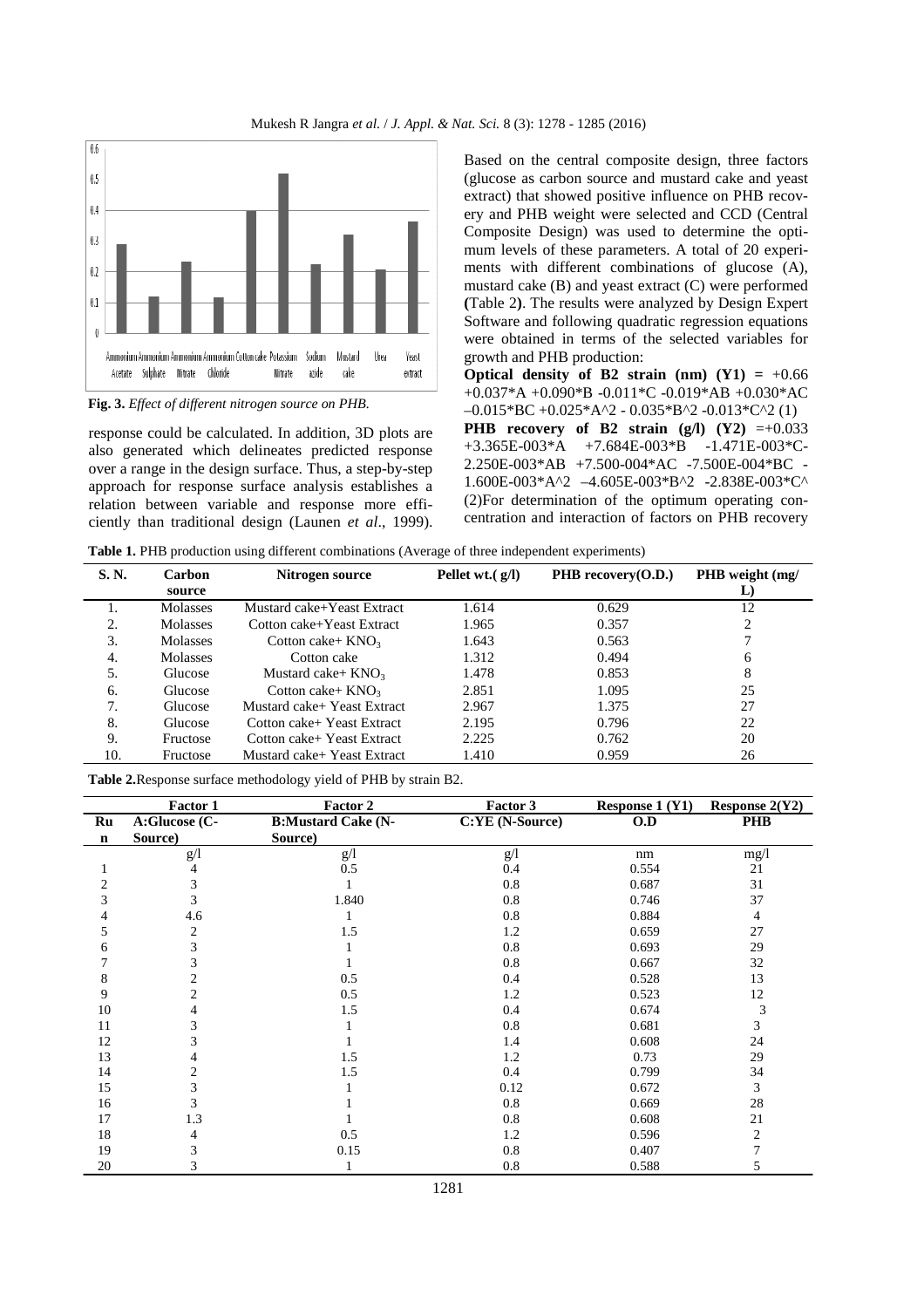

**Fig. 3.** *Effect of different nitrogen source on PHB.* 

response could be calculated. In addition, 3D plots are also generated which delineates predicted response over a range in the design surface. Thus, a step-by-step approach for response surface analysis establishes a relation between variable and response more efficiently than traditional design (Launen *et al*., 1999).

Based on the central composite design, three factors (glucose as carbon source and mustard cake and yeast extract) that showed positive influence on PHB recovery and PHB weight were selected and CCD (Central Composite Design) was used to determine the optimum levels of these parameters. A total of 20 experiments with different combinations of glucose (A), mustard cake (B) and yeast extract (C) were performed **(**Table 2**)**. The results were analyzed by Design Expert Software and following quadratic regression equations were obtained in terms of the selected variables for growth and PHB production:

**Optical density of B2 strain (nm)**  $(Y1) = +0.66$ +0.037\*A +0.090\*B -0.011\*C -0.019\*AB +0.030\*AC  $-0.015*BC +0.025*A^2 - 0.035*B^2 -0.013*C^2$  (1) **PHB** recovery of B2 strain (g/l)  $(Y2) = +0.033$ +3.365E-003\*A +7.684E-003\*B -1.471E-003\*C-2.250E-003\*AB +7.500-004\*AC -7.500E-004\*BC - 1.600E-003\*A^2 –4.605E-003\*B^2 -2.838E-003\*C^ (2)For determination of the optimum operating concentration and interaction of factors on PHB recovery

**Table 1.** PHB production using different combinations (Average of three independent experiments)

| S. N. | <b>Carbon</b><br>source | Nitrogen source             | Pellet wt. $(g/I)$ | PHB recovery $(0.D.)$ | PHB weight (mg/<br>L) |
|-------|-------------------------|-----------------------------|--------------------|-----------------------|-----------------------|
|       | <b>Molasses</b>         | Mustard cake+Yeast Extract  | 1.614              | 0.629                 | 12                    |
| 2.    | <b>Molasses</b>         | Cotton cake+Yeast Extract   | 1.965              | 0.357                 | 2                     |
| 3.    | <b>Molasses</b>         | Cotton cake+ $KNO_3$        | 1.643              | 0.563                 |                       |
| -4.   | Molasses                | Cotton cake                 | 1.312              | 0.494                 | 6                     |
| 5.    | Glucose                 | Mustard cake+ $KNO3$        | 1.478              | 0.853                 | 8                     |
| 6.    | Glucose                 | Cotton cake+ $KNO_3$        | 2.851              | 1.095                 | 25                    |
| 7     | Glucose                 | Mustard cake+ Yeast Extract | 2.967              | 1.375                 | 27                    |
| 8.    | Glucose                 | Cotton cake+ Yeast Extract  | 2.195              | 0.796                 | 22                    |
| 9.    | Fructose                | Cotton cake+ Yeast Extract  | 2.225              | 0.762                 | 20                    |
| 10.   | Fructose                | Mustard cake+ Yeast Extract | 1.410              | 0.959                 | 26                    |

**Table 2.**Response surface methodology yield of PHB by strain B2.

|    | Factor 1       | <b>Factor 2</b>           | Factor 3        | <b>Response 1 (Y1)</b> | Response $2(Y2)$ |
|----|----------------|---------------------------|-----------------|------------------------|------------------|
| Ru | A:Glucose (C-  | <b>B:Mustard Cake (N-</b> | C:YE (N-Source) | O.D                    | <b>PHB</b>       |
| n  | Source)        | Source)                   |                 |                        |                  |
|    | g/1            | g/1                       | g/1             | nm                     | mg/1             |
|    | 4              | 0.5                       | 0.4             | 0.554                  | 21               |
| 2  | 3              |                           | 0.8             | 0.687                  | 31               |
| 3  | 3              | 1.840                     | 0.8             | 0.746                  | 37               |
|    | 4.6            |                           | 0.8             | 0.884                  | 4                |
| C  | 2              | 1.5                       | 1.2             | 0.659                  | 27               |
| 6  | 3              |                           | 0.8             | 0.693                  | 29               |
|    | 3              |                           | 0.8             | 0.667                  | 32               |
| 8  | 2              | 0.5                       | 0.4             | 0.528                  | 13               |
| 9  | $\overline{c}$ | 0.5                       | 1.2             | 0.523                  | 12               |
| 10 | 4              | 1.5                       | 0.4             | 0.674                  | 3                |
| 11 | 3              |                           | 0.8             | 0.681                  | 3                |
| 12 | 3              |                           | 1.4             | 0.608                  | 24               |
| 13 |                | 1.5                       | 1.2             | 0.73                   | 29               |
| 14 | 2              | 1.5                       | 0.4             | 0.799                  | 34               |
| 15 | 3              |                           | 0.12            | 0.672                  | 3                |
| 16 | 3              |                           | 0.8             | 0.669                  | 28               |
| 17 | 1.3            |                           | 0.8             | 0.608                  | 21               |
| 18 | 4              | 0.5                       | 1.2             | 0.596                  | $\overline{c}$   |
| 19 | 3              | 0.15                      | 0.8             | 0.407                  | 7                |
| 20 | 3              |                           | 0.8             | 0.588                  | 5                |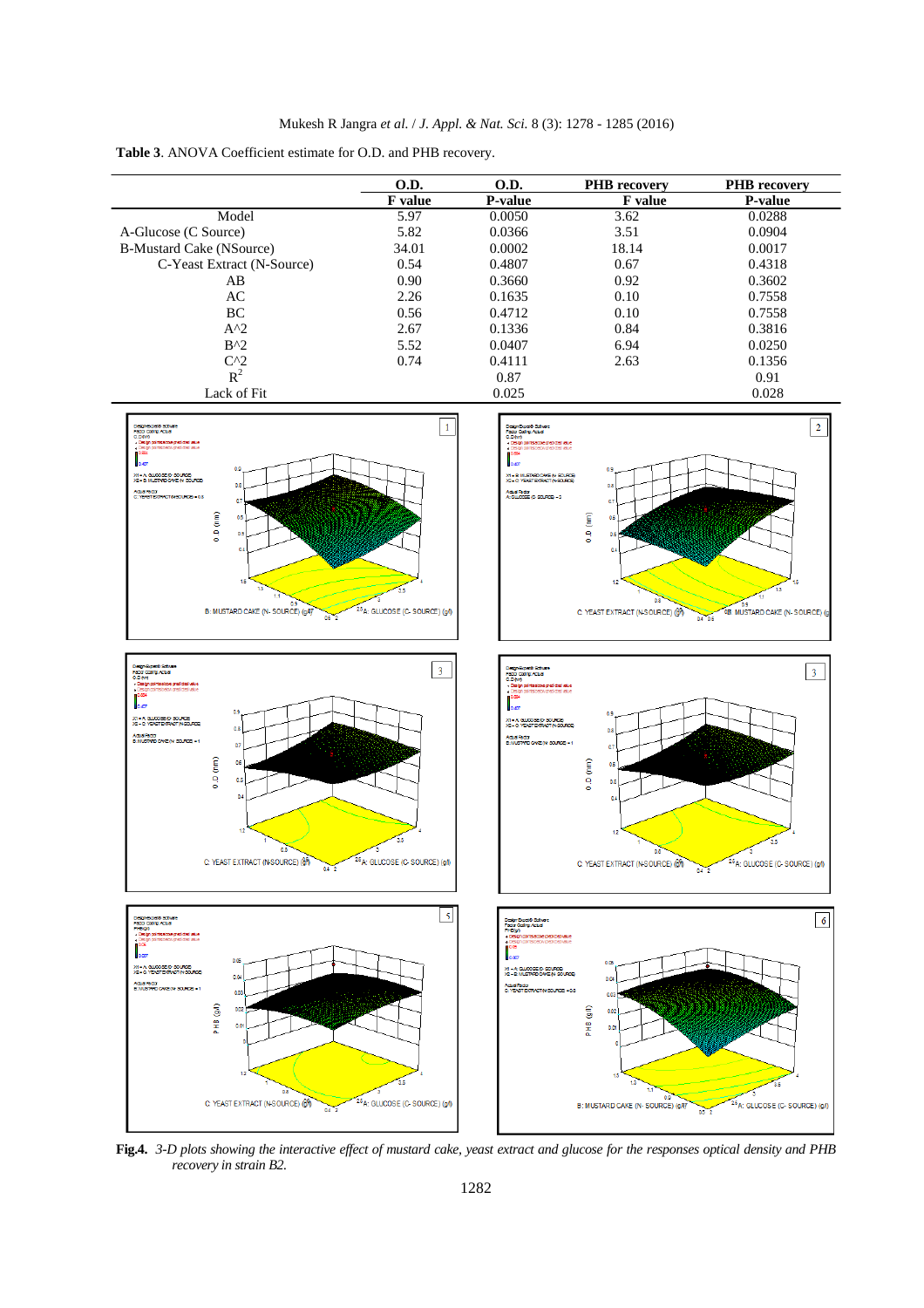**Table 3**. ANOVA Coefficient estimate for O.D. and PHB recovery.

|                                 | <b>O.D.</b>    | O.D.           | <b>PHB</b> recovery | <b>PHB</b> recovery |
|---------------------------------|----------------|----------------|---------------------|---------------------|
|                                 | <b>F</b> value | <b>P-value</b> | <b>F</b> value      | <b>P-value</b>      |
| Model                           | 5.97           | 0.0050         | 3.62                | 0.0288              |
| A-Glucose (C Source)            | 5.82           | 0.0366         | 3.51                | 0.0904              |
| <b>B-Mustard Cake (NSource)</b> | 34.01          | 0.0002         | 18.14               | 0.0017              |
| C-Yeast Extract (N-Source)      | 0.54           | 0.4807         | 0.67                | 0.4318              |
| AB                              | 0.90           | 0.3660         | 0.92                | 0.3602              |
| AC                              | 2.26           | 0.1635         | 0.10                | 0.7558              |
| BC                              | 0.56           | 0.4712         | 0.10                | 0.7558              |
| $A^2$                           | 2.67           | 0.1336         | 0.84                | 0.3816              |
| $B^{\wedge}$                    | 5.52           | 0.0407         | 6.94                | 0.0250              |
| $C^{0.2}$                       | 0.74           | 0.4111         | 2.63                | 0.1356              |
| $R^2$                           |                | 0.87           |                     | 0.91                |
| Lack of Fit                     |                | 0.025          |                     | 0.028               |



**Fig.4.** *3-D plots showing the interactive effect of mustard cake, yeast extract and glucose for the responses optical density and PHB recovery in strain B2.*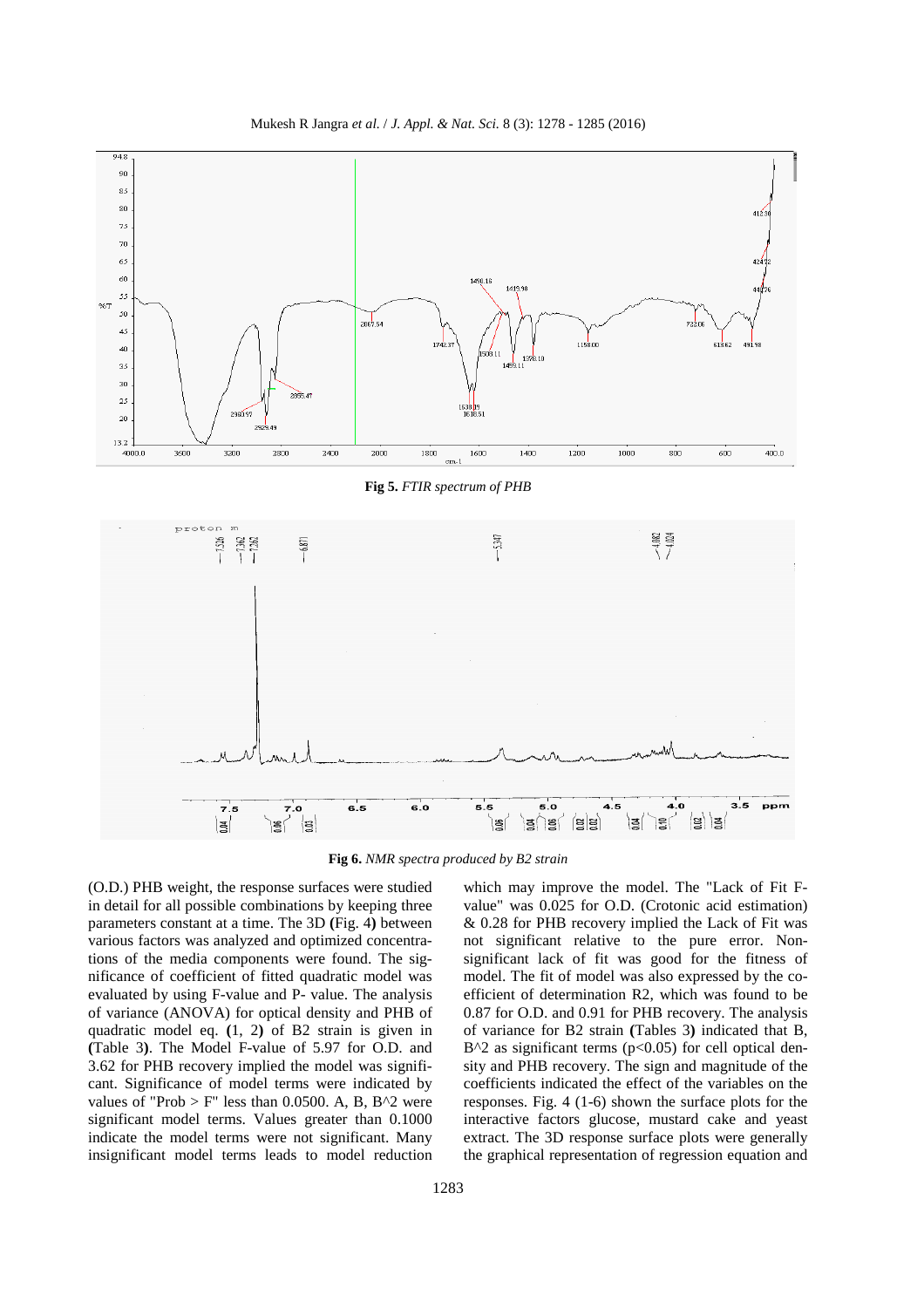



**Fig 5.** *FTIR spectrum of PHB*



**Fig 6.** *NMR spectra produced by B2 strain* 

(O.D.) PHB weight, the response surfaces were studied in detail for all possible combinations by keeping three parameters constant at a time. The 3D **(**Fig. 4**)** between various factors was analyzed and optimized concentrations of the media components were found. The significance of coefficient of fitted quadratic model was evaluated by using F-value and P- value. The analysis of variance (ANOVA) for optical density and PHB of quadratic model eq. **(**1, 2**)** of B2 strain is given in **(**Table 3**)**. The Model F-value of 5.97 for O.D. and 3.62 for PHB recovery implied the model was significant. Significance of model terms were indicated by values of "Prob  $>$  F" less than 0.0500. A, B, B^2 were significant model terms. Values greater than 0.1000 indicate the model terms were not significant. Many insignificant model terms leads to model reduction

which may improve the model. The "Lack of Fit Fvalue" was 0.025 for O.D. (Crotonic acid estimation) & 0.28 for PHB recovery implied the Lack of Fit was not significant relative to the pure error. Nonsignificant lack of fit was good for the fitness of model. The fit of model was also expressed by the coefficient of determination R2, which was found to be 0.87 for O.D. and 0.91 for PHB recovery. The analysis of variance for B2 strain **(**Tables 3**)** indicated that B,  $B^2$  as significant terms (p<0.05) for cell optical density and PHB recovery. The sign and magnitude of the coefficients indicated the effect of the variables on the responses. Fig. 4 (1-6) shown the surface plots for the interactive factors glucose, mustard cake and yeast extract. The 3D response surface plots were generally the graphical representation of regression equation and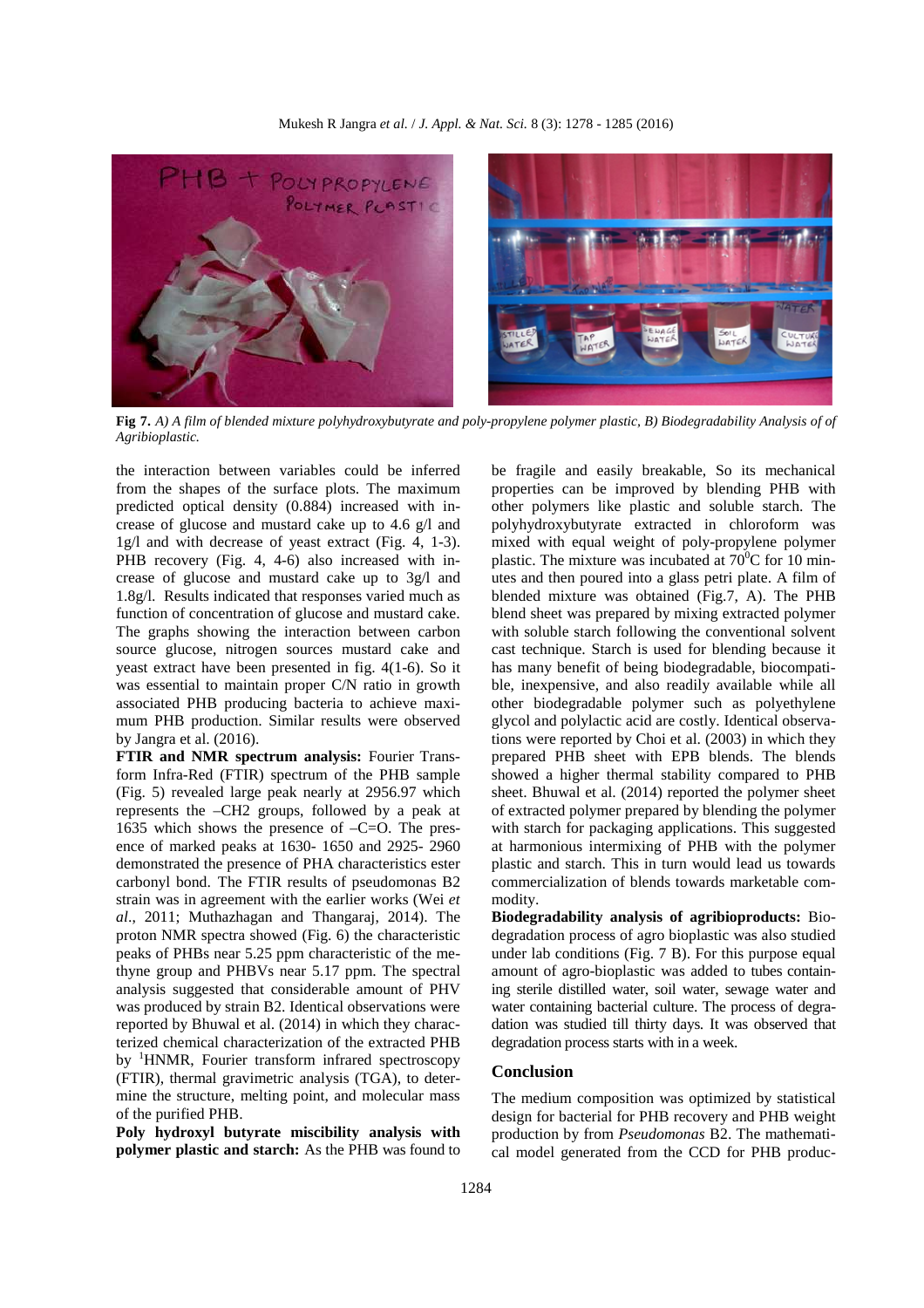

**Fig 7.** *A) A film of blended mixture polyhydroxybutyrate and poly-propylene polymer plastic, B) Biodegradability Analysis of of Agribioplastic.* 

the interaction between variables could be inferred from the shapes of the surface plots. The maximum predicted optical density (0.884) increased with increase of glucose and mustard cake up to 4.6 g/l and 1g/l and with decrease of yeast extract (Fig. 4, 1-3). PHB recovery (Fig. 4, 4-6) also increased with increase of glucose and mustard cake up to 3g/l and 1.8g/l. Results indicated that responses varied much as function of concentration of glucose and mustard cake. The graphs showing the interaction between carbon source glucose, nitrogen sources mustard cake and yeast extract have been presented in fig. 4(1-6). So it was essential to maintain proper C/N ratio in growth associated PHB producing bacteria to achieve maximum PHB production. Similar results were observed by Jangra et al. (2016).

**FTIR and NMR spectrum analysis:** Fourier Transform Infra-Red (FTIR) spectrum of the PHB sample (Fig. 5) revealed large peak nearly at 2956.97 which represents the –CH2 groups, followed by a peak at 1635 which shows the presence of  $-C=O$ . The presence of marked peaks at 1630- 1650 and 2925- 2960 demonstrated the presence of PHA characteristics ester carbonyl bond. The FTIR results of pseudomonas B2 strain was in agreement with the earlier works (Wei *et al*., 2011; Muthazhagan and Thangaraj, 2014). The proton NMR spectra showed (Fig. 6) the characteristic peaks of PHBs near 5.25 ppm characteristic of the methyne group and PHBVs near 5.17 ppm. The spectral analysis suggested that considerable amount of PHV was produced by strain B2. Identical observations were reported by Bhuwal et al. (2014) in which they characterized chemical characterization of the extracted PHB by <sup>1</sup>HNMR, Fourier transform infrared spectroscopy (FTIR), thermal gravimetric analysis (TGA), to determine the structure, melting point, and molecular mass of the purified PHB.

**Poly hydroxyl butyrate miscibility analysis with polymer plastic and starch:** As the PHB was found to

be fragile and easily breakable, So its mechanical properties can be improved by blending PHB with other polymers like plastic and soluble starch. The polyhydroxybutyrate extracted in chloroform was mixed with equal weight of poly-propylene polymer plastic. The mixture was incubated at  $70^0C$  for 10 minutes and then poured into a glass petri plate. A film of blended mixture was obtained (Fig.7, A). The PHB blend sheet was prepared by mixing extracted polymer with soluble starch following the conventional solvent cast technique. Starch is used for blending because it has many benefit of being biodegradable, biocompatible, inexpensive, and also readily available while all other biodegradable polymer such as polyethylene glycol and polylactic acid are costly. Identical observations were reported by Choi et al. (2003) in which they prepared PHB sheet with EPB blends. The blends showed a higher thermal stability compared to PHB sheet. Bhuwal et al. (2014) reported the polymer sheet of extracted polymer prepared by blending the polymer with starch for packaging applications. This suggested at harmonious intermixing of PHB with the polymer plastic and starch. This in turn would lead us towards commercialization of blends towards marketable commodity.

**Biodegradability analysis of agribioproducts:** Biodegradation process of agro bioplastic was also studied under lab conditions (Fig. 7 B). For this purpose equal amount of agro-bioplastic was added to tubes containing sterile distilled water, soil water, sewage water and water containing bacterial culture. The process of degradation was studied till thirty days. It was observed that degradation process starts with in a week.

### **Conclusion**

The medium composition was optimized by statistical design for bacterial for PHB recovery and PHB weight production by from *Pseudomonas* B2. The mathematical model generated from the CCD for PHB produc